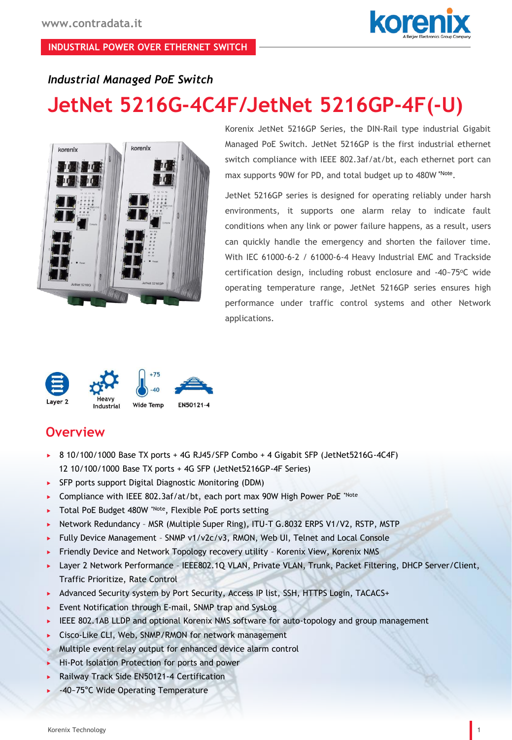



#### *Industrial Managed PoE Switch*

# **JetNet 5216G-4C4F/JetNet 5216GP-4F(-U)**



Korenix JetNet 5216GP Series, the DIN-Rail type industrial Gigabit Managed PoE Switch. JetNet 5216GP is the first industrial ethernet switch compliance with IEEE 802.3af/at/bt, each ethernet port can max supports 90W for PD, and total budget up to 480W \*Note.

JetNet 5216GP series is designed for operating reliably under harsh environments, it supports one alarm relay to indicate fault conditions when any link or power failure happens, as a result, users can quickly handle the emergency and shorten the failover time. With IEC 61000-6-2 / 61000-6-4 Heavy Industrial EMC and Trackside certification design, including robust enclosure and -40-75°C wide operating temperature range, JetNet 5216GP series ensures high performance under traffic control systems and other Network applications.



### **Overview**

- 8 10/100/1000 Base TX ports + 4G RJ45/SFP Combo + 4 Gigabit SFP (JetNet5216G-4C4F) 12 10/100/1000 Base TX ports + 4G SFP (JetNet5216GP-4F Series)
- SFP ports support Digital Diagnostic Monitoring (DDM)
- ▶ Compliance with IEEE 802.3af/at/bt, each port max 90W High Power PoE \*Note
- Total PoE Budget 480W \*Note, Flexible PoE ports setting
- ▶ Network Redundancy MSR (Multiple Super Ring), ITU-T G.8032 ERPS V1/V2, RSTP, MSTP
- Fully Device Management SNMP v1/v2c/v3, RMON, Web UI, Telnet and Local Console
- Friendly Device and Network Topology recovery utility Korenix View, Korenix NMS
- Layer 2 Network Performance IEEE802.1Q VLAN, Private VLAN, Trunk, Packet Filtering, DHCP Server/Client, Traffic Prioritize, Rate Control
- Advanced Security system by Port Security, Access IP list, SSH, HTTPS Login, TACACS+
- Event Notification through E-mail, SNMP trap and SysLog
- IEEE 802.1AB LLDP and optional Korenix NMS software for auto-topology and group management
- Cisco-Like CLI, Web, SNMP/RMON for network management
- Multiple event relay output for enhanced device alarm control
- Hi-Pot Isolation Protection for ports and power
- Railway Track Side EN50121-4 Certification
- -40~75°C Wide Operating Temperature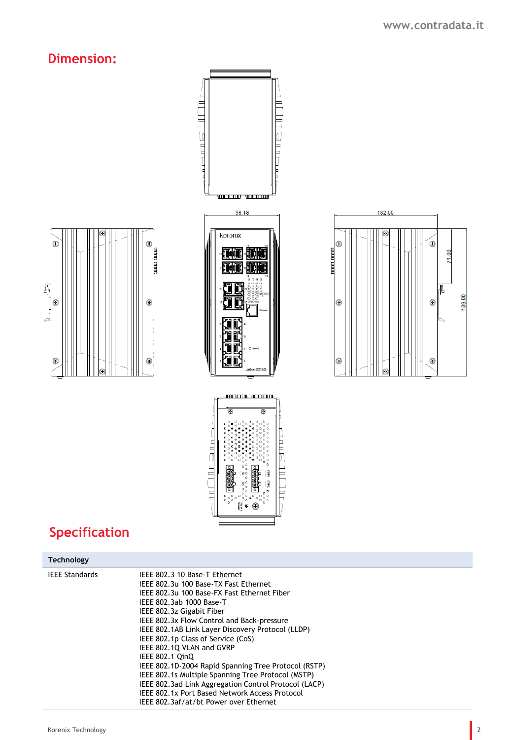# **Dimension:**









# **Specification**

#### **Technology** IEEE Standards IEEE 802.3 10 Base-T Ethernet IEEE 802.3u 100 Base-TX Fast Ethernet IEEE 802.3u 100 Base-FX Fast Ethernet Fiber IEEE 802.3ab 1000 Base-T IEEE 802.3z Gigabit Fiber IEEE 802.3x Flow Control and Back-pressure IEEE 802.1AB Link Layer Discovery Protocol (LLDP) IEEE 802.1p Class of Service (CoS) IEEE 802.1Q VLAN and GVRP IEEE 802.1 QinQ IEEE 802.1D-2004 Rapid Spanning Tree Protocol (RSTP) IEEE 802.1s Multiple Spanning Tree Protocol (MSTP) IEEE 802.3ad Link Aggregation Control Protocol (LACP) IEEE 802.1x Port Based Network Access Protocol IEEE 802.3af/at/bt Power over Ethernet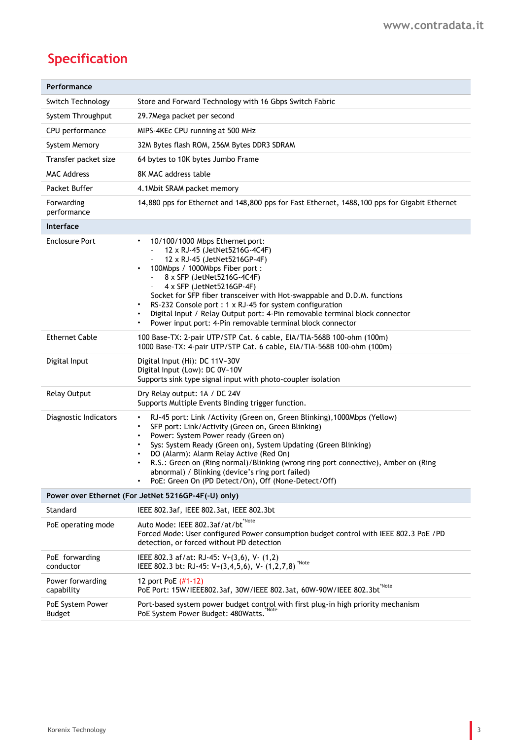# **Specification**

| Performance                                         |                                                                                                                                                                                                                                                                                                                                                                                                                                                                                                                              |  |
|-----------------------------------------------------|------------------------------------------------------------------------------------------------------------------------------------------------------------------------------------------------------------------------------------------------------------------------------------------------------------------------------------------------------------------------------------------------------------------------------------------------------------------------------------------------------------------------------|--|
| Switch Technology                                   | Store and Forward Technology with 16 Gbps Switch Fabric                                                                                                                                                                                                                                                                                                                                                                                                                                                                      |  |
| System Throughput                                   | 29.7Mega packet per second                                                                                                                                                                                                                                                                                                                                                                                                                                                                                                   |  |
| CPU performance                                     | MIPS-4KEc CPU running at 500 MHz                                                                                                                                                                                                                                                                                                                                                                                                                                                                                             |  |
| <b>System Memory</b>                                | 32M Bytes flash ROM, 256M Bytes DDR3 SDRAM                                                                                                                                                                                                                                                                                                                                                                                                                                                                                   |  |
| Transfer packet size                                | 64 bytes to 10K bytes Jumbo Frame                                                                                                                                                                                                                                                                                                                                                                                                                                                                                            |  |
| <b>MAC Address</b>                                  | 8K MAC address table                                                                                                                                                                                                                                                                                                                                                                                                                                                                                                         |  |
| Packet Buffer                                       | 4.1 Mbit SRAM packet memory                                                                                                                                                                                                                                                                                                                                                                                                                                                                                                  |  |
| Forwarding<br>performance                           | 14,880 pps for Ethernet and 148,800 pps for Fast Ethernet, 1488,100 pps for Gigabit Ethernet                                                                                                                                                                                                                                                                                                                                                                                                                                 |  |
| Interface                                           |                                                                                                                                                                                                                                                                                                                                                                                                                                                                                                                              |  |
| <b>Enclosure Port</b>                               | 10/100/1000 Mbps Ethernet port:<br>$\bullet$<br>12 x RJ-45 (JetNet5216G-4C4F)<br>12 x RJ-45 (JetNet5216GP-4F)<br>100Mbps / 1000Mbps Fiber port :<br>8 x SFP (JetNet5216G-4C4F)<br>4 x SFP (JetNet5216GP-4F)<br>$\overline{\phantom{a}}$<br>Socket for SFP fiber transceiver with Hot-swappable and D.D.M. functions<br>RS-232 Console port : 1 x RJ-45 for system configuration<br>Digital Input / Relay Output port: 4-Pin removable terminal block connector<br>Power input port: 4-Pin removable terminal block connector |  |
| <b>Ethernet Cable</b>                               | 100 Base-TX: 2-pair UTP/STP Cat. 6 cable, EIA/TIA-568B 100-ohm (100m)<br>1000 Base-TX: 4-pair UTP/STP Cat. 6 cable, EIA/TIA-568B 100-ohm (100m)                                                                                                                                                                                                                                                                                                                                                                              |  |
| Digital Input                                       | Digital Input (Hi): DC 11V-30V<br>Digital Input (Low): DC 0V~10V<br>Supports sink type signal input with photo-coupler isolation                                                                                                                                                                                                                                                                                                                                                                                             |  |
| <b>Relay Output</b>                                 | Dry Relay output: 1A / DC 24V<br>Supports Multiple Events Binding trigger function.                                                                                                                                                                                                                                                                                                                                                                                                                                          |  |
| Diagnostic Indicators                               | RJ-45 port: Link / Activity (Green on, Green Blinking), 1000Mbps (Yellow)<br>SFP port: Link/Activity (Green on, Green Blinking)<br>Power: System Power ready (Green on)<br>$\bullet$<br>Sys: System Ready (Green on), System Updating (Green Blinking)<br>DO (Alarm): Alarm Relay Active (Red On)<br>R.S.: Green on (Ring normal)/Blinking (wrong ring port connective), Amber on (Ring<br>abnormal) / Blinking (device's ring port failed)<br>PoE: Green On (PD Detect/On), Off (None-Detect/Off)<br>$\bullet$              |  |
| Power over Ethernet (For JetNet 5216GP-4F(-U) only) |                                                                                                                                                                                                                                                                                                                                                                                                                                                                                                                              |  |
| Standard                                            | IEEE 802.3af, IEEE 802.3at, IEEE 802.3bt                                                                                                                                                                                                                                                                                                                                                                                                                                                                                     |  |
| PoE operating mode                                  | Auto Mode: IEEE 802.3af/at/bt <sup>*Note</sup><br>Forced Mode: User configured Power consumption budget control with IEEE 802.3 PoE /PD<br>detection, or forced without PD detection                                                                                                                                                                                                                                                                                                                                         |  |
| PoE forwarding<br>conductor                         | IEEE 802.3 af/at: RJ-45: V+(3,6), V- (1,2)<br>*Note<br>IEEE 802.3 bt: RJ-45: V+(3,4,5,6), V-(1,2,7,8)                                                                                                                                                                                                                                                                                                                                                                                                                        |  |
| Power forwarding<br>capability                      | 12 port PoE (#1-12)<br>PoE Port: 15W/IEEE802.3af, 30W/IEEE 802.3at, 60W-90W/IEEE 802.3bt <sup>*Note</sup>                                                                                                                                                                                                                                                                                                                                                                                                                    |  |
| PoE System Power<br><b>Budget</b>                   | Port-based system power budget control with first plug-in high priority mechanism<br>PoE System Power Budget: 480Watts.                                                                                                                                                                                                                                                                                                                                                                                                      |  |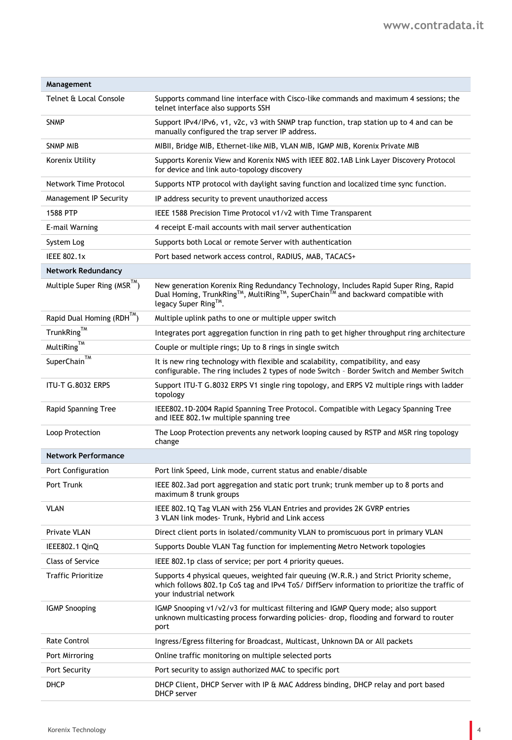| Management                                    |                                                                                                                                                                                                                   |
|-----------------------------------------------|-------------------------------------------------------------------------------------------------------------------------------------------------------------------------------------------------------------------|
| Telnet & Local Console                        | Supports command line interface with Cisco-like commands and maximum 4 sessions; the<br>telnet interface also supports SSH                                                                                        |
| <b>SNMP</b>                                   | Support IPv4/IPv6, v1, v2c, v3 with SNMP trap function, trap station up to 4 and can be<br>manually configured the trap server IP address.                                                                        |
| <b>SNMP MIB</b>                               | MIBII, Bridge MIB, Ethernet-like MIB, VLAN MIB, IGMP MIB, Korenix Private MIB                                                                                                                                     |
| Korenix Utility                               | Supports Korenix View and Korenix NMS with IEEE 802.1AB Link Layer Discovery Protocol<br>for device and link auto-topology discovery                                                                              |
| Network Time Protocol                         | Supports NTP protocol with daylight saving function and localized time sync function.                                                                                                                             |
| Management IP Security                        | IP address security to prevent unauthorized access                                                                                                                                                                |
| 1588 PTP                                      | IEEE 1588 Precision Time Protocol v1/v2 with Time Transparent                                                                                                                                                     |
| E-mail Warning                                | 4 receipt E-mail accounts with mail server authentication                                                                                                                                                         |
| System Log                                    | Supports both Local or remote Server with authentication                                                                                                                                                          |
| <b>IEEE 802.1x</b>                            | Port based network access control, RADIUS, MAB, TACACS+                                                                                                                                                           |
| <b>Network Redundancy</b>                     |                                                                                                                                                                                                                   |
| Multiple Super Ring ( $MSR^{TM}$ )            | New generation Korenix Ring Redundancy Technology, Includes Rapid Super Ring, Rapid<br>Dual Homing, TrunkRing™, MultiRing™, SuperChain™ and backward compatible with<br>legacy Super Ring™.                       |
| Rapid Dual Homing (RDH <sup>TM</sup> )        | Multiple uplink paths to one or multiple upper switch                                                                                                                                                             |
| $\mathsf{TrunkRing}^{\overline{\mathsf{TM}}}$ | Integrates port aggregation function in ring path to get higher throughput ring architecture                                                                                                                      |
| MultiRing™                                    | Couple or multiple rings; Up to 8 rings in single switch                                                                                                                                                          |
| SuperChain™                                   | It is new ring technology with flexible and scalability, compatibility, and easy<br>configurable. The ring includes 2 types of node Switch - Border Switch and Member Switch                                      |
| <b>ITU-T G.8032 ERPS</b>                      | Support ITU-T G.8032 ERPS V1 single ring topology, and ERPS V2 multiple rings with ladder<br>topology                                                                                                             |
| <b>Rapid Spanning Tree</b>                    | IEEE802.1D-2004 Rapid Spanning Tree Protocol. Compatible with Legacy Spanning Tree<br>and IEEE 802.1w multiple spanning tree                                                                                      |
| Loop Protection                               | The Loop Protection prevents any network looping caused by RSTP and MSR ring topology<br>change                                                                                                                   |
| <b>Network Performance</b>                    |                                                                                                                                                                                                                   |
| Port Configuration                            | Port link Speed, Link mode, current status and enable/disable                                                                                                                                                     |
| Port Trunk                                    | IEEE 802.3ad port aggregation and static port trunk; trunk member up to 8 ports and<br>maximum 8 trunk groups                                                                                                     |
| VLAN                                          | IEEE 802.1Q Tag VLAN with 256 VLAN Entries and provides 2K GVRP entries<br>3 VLAN link modes- Trunk, Hybrid and Link access                                                                                       |
| Private VLAN                                  | Direct client ports in isolated/community VLAN to promiscuous port in primary VLAN                                                                                                                                |
| IEEE802.1 QinQ                                | Supports Double VLAN Tag function for implementing Metro Network topologies                                                                                                                                       |
| <b>Class of Service</b>                       | IEEE 802.1p class of service; per port 4 priority queues.                                                                                                                                                         |
| <b>Traffic Prioritize</b>                     | Supports 4 physical queues, weighted fair queuing (W.R.R.) and Strict Priority scheme,<br>which follows 802.1p CoS tag and IPv4 ToS/ DiffServ information to prioritize the traffic of<br>your industrial network |
| <b>IGMP Snooping</b>                          | IGMP Snooping v1/v2/v3 for multicast filtering and IGMP Query mode; also support<br>unknown multicasting process forwarding policies- drop, flooding and forward to router<br>port                                |
| <b>Rate Control</b>                           | Ingress/Egress filtering for Broadcast, Multicast, Unknown DA or All packets                                                                                                                                      |
| Port Mirroring                                | Online traffic monitoring on multiple selected ports                                                                                                                                                              |
| Port Security                                 | Port security to assign authorized MAC to specific port                                                                                                                                                           |
| DHCP                                          | DHCP Client, DHCP Server with IP & MAC Address binding, DHCP relay and port based<br><b>DHCP</b> server                                                                                                           |